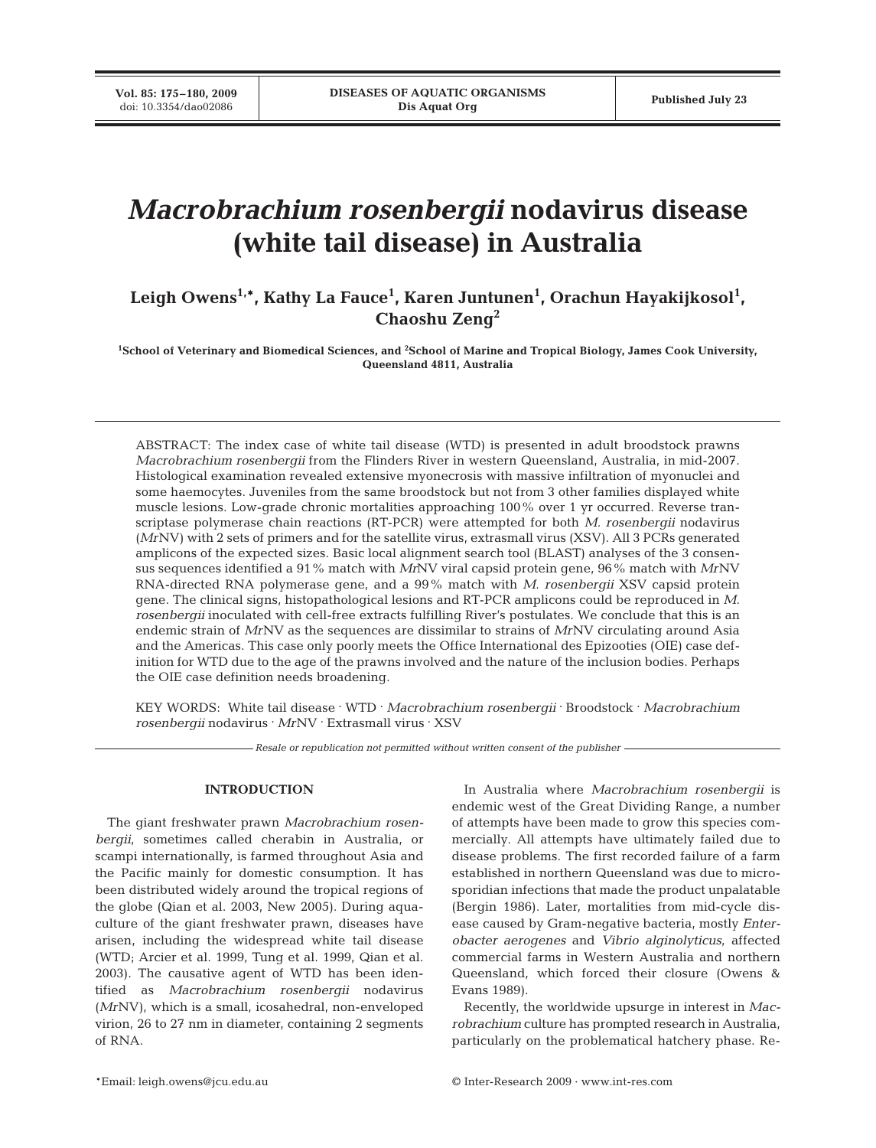**Vol. 85: 175–180, 2009**<br>doi: 10.3354/dao02086

# *Macrobrachium rosenbergii* **nodavirus disease (white tail disease) in Australia**

Leigh Owens<sup>1,</sup>\*, Kathy La Fauce<sup>1</sup>, Karen Juntunen<sup>1</sup>, Orachun Hayakijkosol<sup>1</sup>, **Chaoshu Zeng2**

**1 School of Veterinary and Biomedical Sciences, and 2 School of Marine and Tropical Biology, James Cook University, Queensland 4811, Australia**

ABSTRACT: The index case of white tail disease (WTD) is presented in adult broodstock prawns *Macrobrachium rosenbergii* from the Flinders River in western Queensland, Australia, in mid-2007. Histological examination revealed extensive myonecrosis with massive infiltration of myonuclei and some haemocytes. Juveniles from the same broodstock but not from 3 other families displayed white muscle lesions. Low-grade chronic mortalities approaching 100% over 1 yr occurred. Reverse transcriptase polymerase chain reactions (RT-PCR) were attempted for both *M. rosenbergii* nodavirus (*Mr*NV) with 2 sets of primers and for the satellite virus, extrasmall virus (XSV). All 3 PCRs generated amplicons of the expected sizes. Basic local alignment search tool (BLAST) analyses of the 3 consensus sequences identified a 91% match with *Mr*NV viral capsid protein gene, 96% match with *Mr*NV RNA-directed RNA polymerase gene, and a 99% match with *M. rosenbergii* XSV capsid protein gene. The clinical signs, histopathological lesions and RT-PCR amplicons could be reproduced in *M. rosenbergii* inoculated with cell-free extracts fulfilling River's postulates. We conclude that this is an endemic strain of *Mr*NV as the sequences are dissimilar to strains of *Mr*NV circulating around Asia and the Americas. This case only poorly meets the Office International des Epizooties (OIE) case definition for WTD due to the age of the prawns involved and the nature of the inclusion bodies. Perhaps the OIE case definition needs broadening.

KEY WORDS: White tail disease **.** WTD **.** *Macrobrachium rosenbergii* **.** Broodstock **.** *Macrobrachium rosenbergii* nodavirus **.** *Mr*NV **.** Extrasmall virus **.** XSV

*Resale or republication not permitted without written consent of the publisher*

# **INTRODUCTION**

The giant freshwater prawn *Macrobrachium rosenbergii*, sometimes called cherabin in Australia, or scampi internationally, is farmed throughout Asia and the Pacific mainly for domestic consumption. It has been distributed widely around the tropical regions of the globe (Qian et al. 2003, New 2005). During aquaculture of the giant freshwater prawn, diseases have arisen, including the widespread white tail disease (WTD; Arcier et al. 1999, Tung et al. 1999, Qian et al. 2003). The causative agent of WTD has been identified as *Macrobrachium rosenbergii* nodavirus (*Mr*NV), which is a small, icosahedral, non-enveloped virion, 26 to 27 nm in diameter, containing 2 segments of RNA.

In Australia where *Macrobrachium rosenbergii* is endemic west of the Great Dividing Range, a number of attempts have been made to grow this species commercially. All attempts have ultimately failed due to disease problems. The first recorded failure of a farm established in northern Queensland was due to microsporidian infections that made the product unpalatable (Bergin 1986). Later, mortalities from mid-cycle disease caused by Gram-negative bacteria, mostly *Enterobacter aerogenes* and *Vibrio alginolyticus*, affected commercial farms in Western Australia and northern Queensland, which forced their closure (Owens & Evans 1989).

Recently, the worldwide upsurge in interest in *Macrobrachium* culture has prompted research in Australia, particularly on the problematical hatchery phase. Re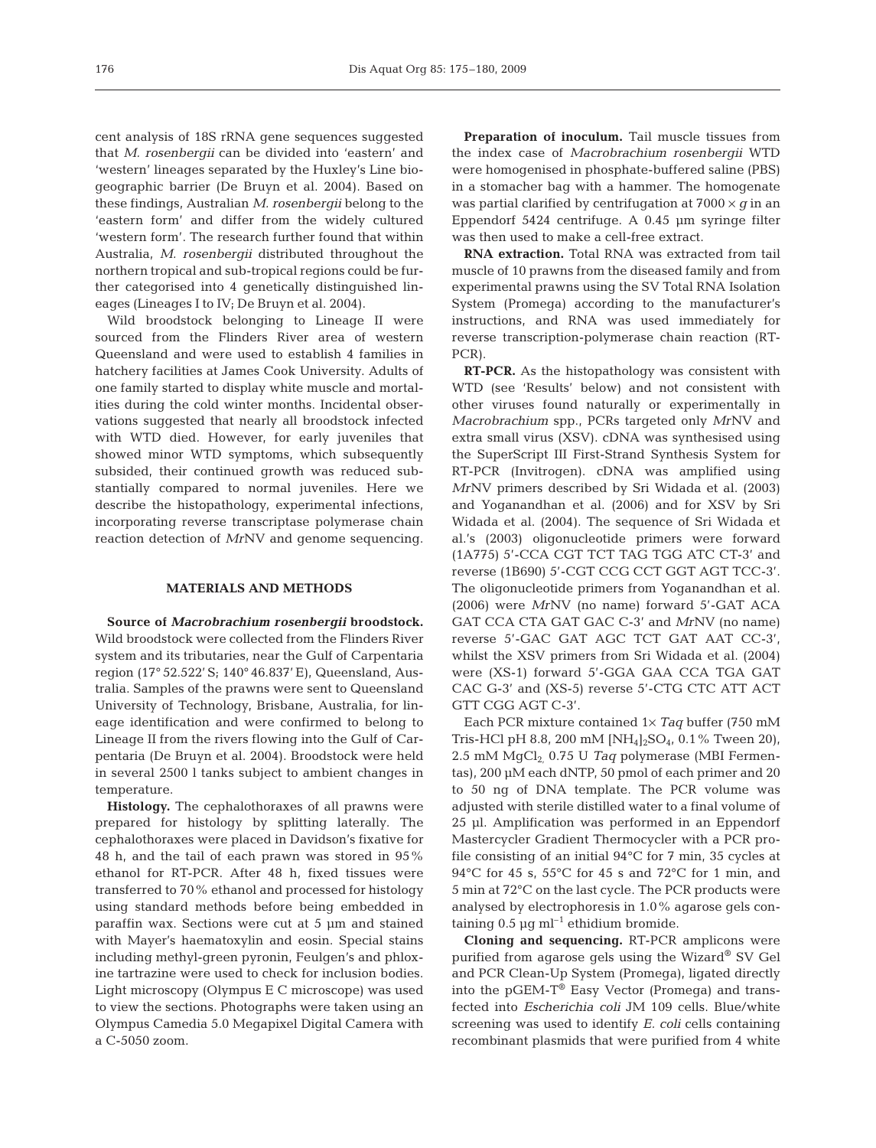cent analysis of 18S rRNA gene sequences suggested that *M. rosenbergii* can be divided into 'eastern' and 'western' lineages separated by the Huxley's Line biogeographic barrier (De Bruyn et al. 2004). Based on these findings, Australian *M. rosenbergii* belong to the 'eastern form' and differ from the widely cultured 'western form'. The research further found that within Australia, *M. rosenbergii* distributed throughout the northern tropical and sub-tropical regions could be further categorised into 4 genetically distinguished lineages (Lineages I to IV; De Bruyn et al. 2004).

Wild broodstock belonging to Lineage II were sourced from the Flinders River area of western Queensland and were used to establish 4 families in hatchery facilities at James Cook University. Adults of one family started to display white muscle and mortalities during the cold winter months. Incidental observations suggested that nearly all broodstock infected with WTD died. However, for early juveniles that showed minor WTD symptoms, which subsequently subsided, their continued growth was reduced substantially compared to normal juveniles. Here we describe the histopathology, experimental infections, incorporating reverse transcriptase polymerase chain reaction detection of *Mr*NV and genome sequencing.

#### **MATERIALS AND METHODS**

**Source of** *Macrobrachium rosenbergii* **broodstock.** Wild broodstock were collected from the Flinders River system and its tributaries, near the Gulf of Carpentaria region (17° 52.522' S; 140° 46.837' E), Queensland, Australia. Samples of the prawns were sent to Queensland University of Technology, Brisbane, Australia, for lineage identification and were confirmed to belong to Lineage II from the rivers flowing into the Gulf of Carpentaria (De Bruyn et al. 2004). Broodstock were held in several 2500 l tanks subject to ambient changes in temperature.

**Histology.** The cephalothoraxes of all prawns were prepared for histology by splitting laterally. The cephalothoraxes were placed in Davidson's fixative for 48 h, and the tail of each prawn was stored in 95% ethanol for RT-PCR. After 48 h, fixed tissues were transferred to 70% ethanol and processed for histology using standard methods before being embedded in paraffin wax. Sections were cut at 5 µm and stained with Mayer's haematoxylin and eosin. Special stains including methyl-green pyronin, Feulgen's and phloxine tartrazine were used to check for inclusion bodies. Light microscopy (Olympus E C microscope) was used to view the sections. Photographs were taken using an Olympus Camedia 5.0 Megapixel Digital Camera with a C-5050 zoom.

**Preparation of inoculum.** Tail muscle tissues from the index case of *Macrobrachium rosenbergii* WTD were homogenised in phosphate-buffered saline (PBS) in a stomacher bag with a hammer. The homogenate was partial clarified by centrifugation at  $7000 \times q$  in an Eppendorf 5424 centrifuge. A 0.45 µm syringe filter was then used to make a cell-free extract.

**RNA extraction.** Total RNA was extracted from tail muscle of 10 prawns from the diseased family and from experimental prawns using the SV Total RNA Isolation System (Promega) according to the manufacturer's instructions, and RNA was used immediately for reverse transcription-polymerase chain reaction (RT-PCR).

**RT-PCR.** As the histopathology was consistent with WTD (see 'Results' below) and not consistent with other viruses found naturally or experimentally in *Macrobrachium* spp., PCRs targeted only *Mr*NV and extra small virus (XSV). cDNA was synthesised using the SuperScript III First-Strand Synthesis System for RT-PCR (Invitrogen). cDNA was amplified using *Mr*NV primers described by Sri Widada et al. (2003) and Yoganandhan et al. (2006) and for XSV by Sri Widada et al. (2004). The sequence of Sri Widada et al.'s (2003) oligonucleotide primers were forward (1A775) 5'-CCA CGT TCT TAG TGG ATC CT-3' and reverse (1B690) 5'-CGT CCG CCT GGT AGT TCC-3'. The oligonucleotide primers from Yoganandhan et al. (2006) were *Mr*NV (no name) forward 5'-GAT ACA GAT CCA CTA GAT GAC C-3' and *Mr*NV (no name) reverse 5'-GAC GAT AGC TCT GAT AAT CC-3', whilst the XSV primers from Sri Widada et al. (2004) were (XS-1) forward 5'-GGA GAA CCA TGA GAT CAC G-3' and (XS-5) reverse 5'-CTG CTC ATT ACT GTT CGG AGT C-3'.

Each PCR mixture contained 1× *Taq* buffer (750 mM Tris-HCl pH 8.8, 200 mM [NH<sub>4</sub>]<sub>2</sub>SO<sub>4</sub>, 0.1% Tween 20), 2.5 mM MgCl<sub>2</sub> 0.75 U Taq polymerase (MBI Fermentas), 200 µM each dNTP, 50 pmol of each primer and 20 to 50 ng of DNA template. The PCR volume was adjusted with sterile distilled water to a final volume of 25 µl. Amplification was performed in an Eppendorf Mastercycler Gradient Thermocycler with a PCR profile consisting of an initial 94°C for 7 min, 35 cycles at 94°C for 45 s, 55°C for 45 s and 72°C for 1 min, and 5 min at 72°C on the last cycle. The PCR products were analysed by electrophoresis in 1.0% agarose gels containing  $0.5 \mu g$  ml<sup>-1</sup> ethidium bromide.

**Cloning and sequencing.** RT-PCR amplicons were purified from agarose gels using the Wizard® SV Gel and PCR Clean-Up System (Promega), ligated directly into the pGEM-T® Easy Vector (Promega) and transfected into *Escherichia coli* JM 109 cells. Blue/white screening was used to identify *E. coli* cells containing recombinant plasmids that were purified from 4 white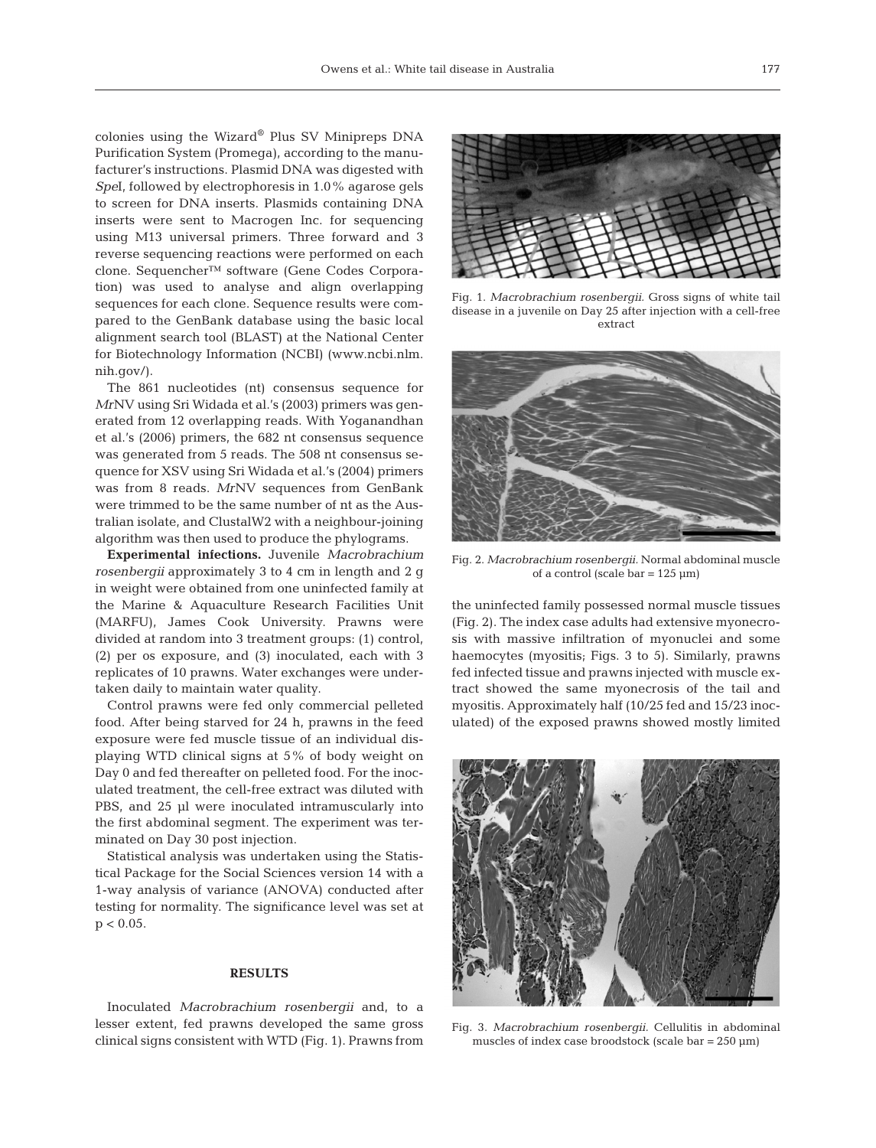colonies using the Wizard® Plus SV Minipreps DNA Purification System (Promega), according to the manufacturer's instructions. Plasmid DNA was digested with *Spe*I, followed by electrophoresis in 1.0% agarose gels to screen for DNA inserts. Plasmids containing DNA inserts were sent to Macrogen Inc. for sequencing using M13 universal primers. Three forward and 3 reverse sequencing reactions were performed on each clone. Sequencher™ software (Gene Codes Corporation) was used to analyse and align overlapping sequences for each clone. Sequence results were compared to the GenBank database using the basic local alignment search tool (BLAST) at the National Center for Biotechnology Information (NCBI) (www.ncbi.nlm. nih.gov/).

The 861 nucleotides (nt) consensus sequence for *Mr*NV using Sri Widada et al.'s (2003) primers was generated from 12 overlapping reads. With Yoganandhan et al.'s (2006) primers, the 682 nt consensus sequence was generated from 5 reads. The 508 nt consensus sequence for XSV using Sri Widada et al.'s (2004) primers was from 8 reads. *Mr*NV sequences from GenBank were trimmed to be the same number of nt as the Australian isolate, and ClustalW2 with a neighbour-joining algorithm was then used to produce the phylograms.

**Experimental infections.** Juvenile *Macrobrachium rosenbergii* approximately 3 to 4 cm in length and 2 g in weight were obtained from one uninfected family at the Marine & Aquaculture Research Facilities Unit (MARFU), James Cook University. Prawns were divided at random into 3 treatment groups: (1) control, (2) per os exposure, and (3) inoculated, each with 3 replicates of 10 prawns. Water exchanges were undertaken daily to maintain water quality.

Control prawns were fed only commercial pelleted food. After being starved for 24 h, prawns in the feed exposure were fed muscle tissue of an individual displaying WTD clinical signs at 5% of body weight on Day 0 and fed thereafter on pelleted food. For the inoculated treatment, the cell-free extract was diluted with PBS, and 25 µl were inoculated intramuscularly into the first abdominal segment. The experiment was terminated on Day 30 post injection.

Statistical analysis was undertaken using the Statistical Package for the Social Sciences version 14 with a 1-way analysis of variance (ANOVA) conducted after testing for normality. The significance level was set at  $p < 0.05$ .

#### **RESULTS**

Inoculated *Macrobrachium rosenbergii* and, to a lesser extent, fed prawns developed the same gross clinical signs consistent with WTD (Fig. 1). Prawns from



Fig. 1. *Macrobrachium rosenbergii.* Gross signs of white tail disease in a juvenile on Day 25 after injection with a cell-free extract



Fig. 2. *Macrobrachium rosenbergii.* Normal abdominal muscle of a control (scale bar =  $125 \text{ }\mu\text{m}$ )

the uninfected family possessed normal muscle tissues (Fig. 2). The index case adults had extensive myonecrosis with massive infiltration of myonuclei and some haemocytes (myositis; Figs. 3 to 5). Similarly, prawns fed infected tissue and prawns injected with muscle extract showed the same myonecrosis of the tail and myositis. Approximately half (10/25 fed and 15/23 inoculated) of the exposed prawns showed mostly limited



Fig. 3. *Macrobrachium rosenbergii.* Cellulitis in abdominal muscles of index case broodstock (scale bar =  $250 \text{ }\mu\text{m}$ )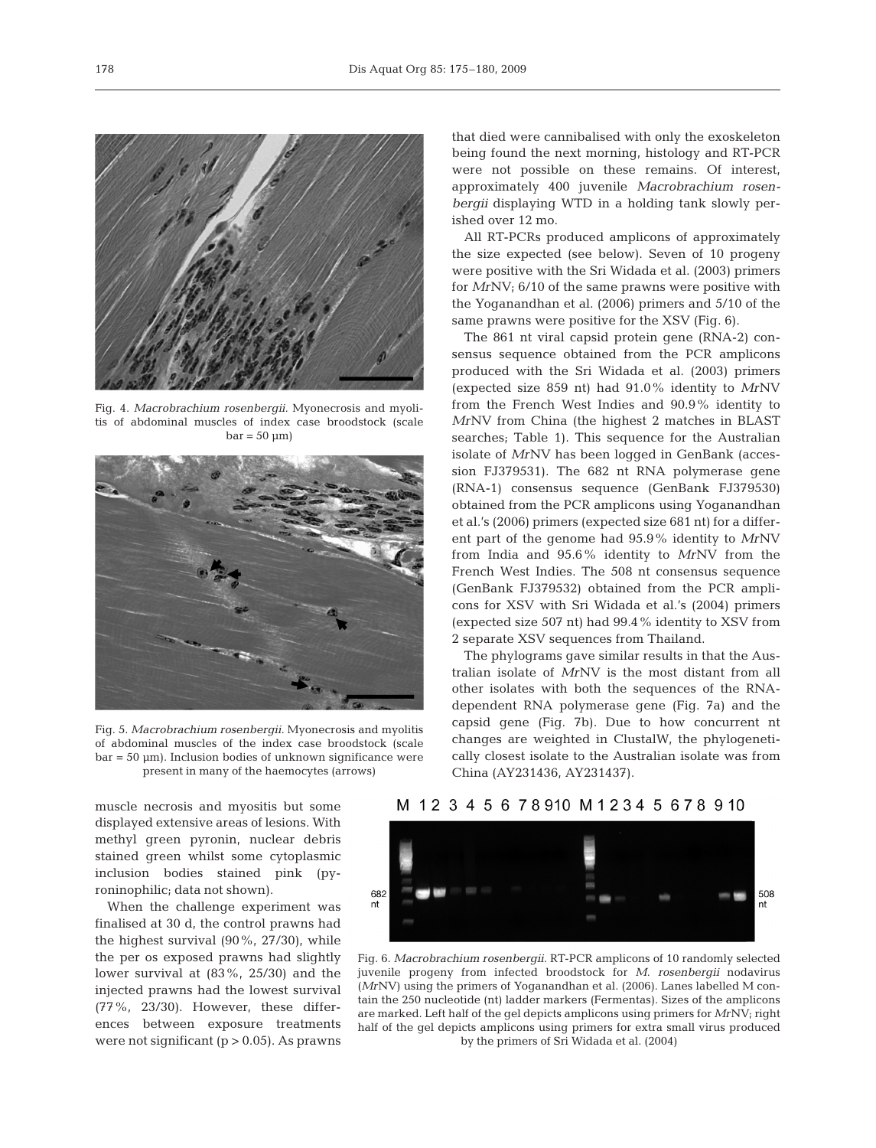

Fig. 4. *Macrobrachium rosenbergii.* Myonecrosis and myolitis of abdominal muscles of index case broodstock (scale  $bar = 50 \mu m$ 



Fig. 5. *Macrobrachium rosenbergii.* Myonecrosis and myolitis of abdominal muscles of the index case broodstock (scale  $bar = 50 \text{ µm}$ ). Inclusion bodies of unknown significance were present in many of the haemocytes (arrows)

muscle necrosis and myositis but some displayed extensive areas of lesions. With methyl green pyronin, nuclear debris stained green whilst some cytoplasmic inclusion bodies stained pink (pyroninophilic; data not shown).

When the challenge experiment was finalised at 30 d, the control prawns had the highest survival (90%, 27/30), while the per os exposed prawns had slightly lower survival at (83%, 25/30) and the injected prawns had the lowest survival (77%, 23/30). However, these differences between exposure treatments were not significant  $(p > 0.05)$ . As prawns

that died were cannibalised with only the exoskeleton being found the next morning, histology and RT-PCR were not possible on these remains. Of interest, approximately 400 juvenile *Macrobrachium rosenbergii* displaying WTD in a holding tank slowly perished over 12 mo.

All RT-PCRs produced amplicons of approximately the size expected (see below). Seven of 10 progeny were positive with the Sri Widada et al. (2003) primers for *Mr*NV; 6/10 of the same prawns were positive with the Yoganandhan et al. (2006) primers and 5/10 of the same prawns were positive for the XSV (Fig. 6).

The 861 nt viral capsid protein gene (RNA-2) consensus sequence obtained from the PCR amplicons produced with the Sri Widada et al. (2003) primers (expected size 859 nt) had 91.0% identity to *Mr*NV from the French West Indies and 90.9% identity to *Mr*NV from China (the highest 2 matches in BLAST searches; Table 1). This sequence for the Australian isolate of *Mr*NV has been logged in GenBank (accession FJ379531). The 682 nt RNA polymerase gene (RNA-1) consensus sequence (GenBank FJ379530) obtained from the PCR amplicons using Yoganandhan et al.'s (2006) primers (expected size 681 nt) for a different part of the genome had 95.9% identity to *Mr*NV from India and 95.6% identity to *Mr*NV from the French West Indies. The 508 nt consensus sequence (GenBank FJ379532) obtained from the PCR amplicons for XSV with Sri Widada et al.'s (2004) primers (expected size 507 nt) had 99.4% identity to XSV from 2 separate XSV sequences from Thailand.

The phylograms gave similar results in that the Australian isolate of *Mr*NV is the most distant from all other isolates with both the sequences of the RNAdependent RNA polymerase gene (Fig. 7a) and the capsid gene (Fig. 7b). Due to how concurrent nt changes are weighted in ClustalW, the phylogenetically closest isolate to the Australian isolate was from China (AY231436, AY231437).

# M 12 3 4 5 6 7 8 910 M 1 2 3 4 5 6 7 8 9 10



Fig. 6. *Macrobrachium rosenbergii.* RT-PCR amplicons of 10 randomly selected juvenile progeny from infected broodstock for *M. rosenbergii* nodavirus (*Mr*NV) using the primers of Yoganandhan et al. (2006). Lanes labelled M contain the 250 nucleotide (nt) ladder markers (Fermentas). Sizes of the amplicons are marked. Left half of the gel depicts amplicons using primers for *Mr*NV; right half of the gel depicts amplicons using primers for extra small virus produced by the primers of Sri Widada et al. (2004)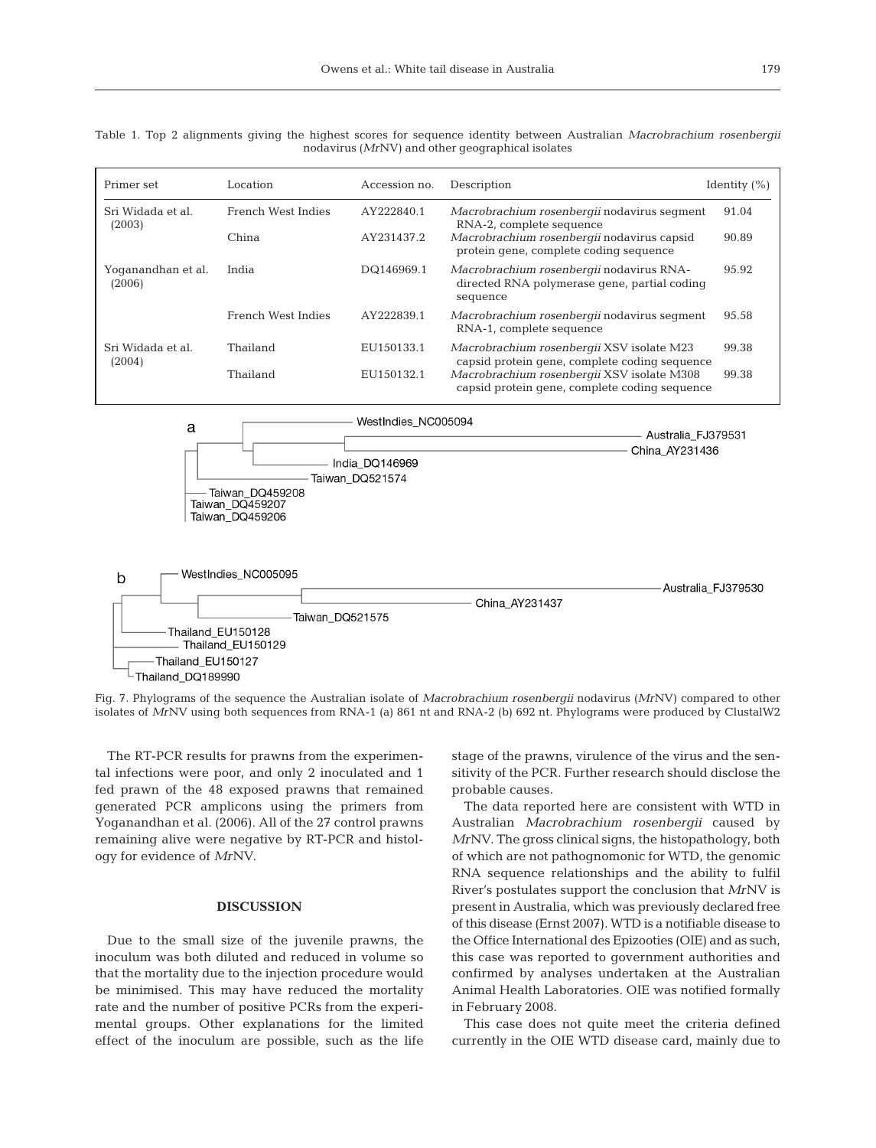

| Primer set                                                                                                                                                     | Location                  | Accession no.      | Description                                                                                          | Identity $(\% )$ |
|----------------------------------------------------------------------------------------------------------------------------------------------------------------|---------------------------|--------------------|------------------------------------------------------------------------------------------------------|------------------|
| Sri Widada et al.<br>(2003)                                                                                                                                    | <b>French West Indies</b> | AY222840.1         | Macrobrachium rosenbergii nodavirus segment<br>RNA-2, complete sequence                              | 91.04            |
|                                                                                                                                                                | China                     | AY231437.2         | Macrobrachium rosenbergii nodavirus capsid<br>protein gene, complete coding sequence                 | 90.89            |
| Yoganandhan et al.<br>(2006)                                                                                                                                   | India                     | DQ146969.1         | Macrobrachium rosenbergii nodavirus RNA-<br>directed RNA polymerase gene, partial coding<br>sequence | 95.92            |
|                                                                                                                                                                | French West Indies        | AY222839.1         | Macrobrachium rosenbergii nodavirus segment<br>RNA-1, complete sequence                              | 95.58            |
| Sri Widada et al.<br>(2004)                                                                                                                                    | Thailand                  | EU150133.1         | Macrobrachium rosenbergii XSV isolate M23<br>capsid protein gene, complete coding sequence           | 99.38            |
|                                                                                                                                                                | Thailand                  | EU150132.1         | Macrobrachium rosenbergii XSV isolate M308<br>capsid protein gene, complete coding sequence          | 99.38            |
| WestIndies NC005094<br>a<br>Australia_FJ379531<br>China AY231436<br>India DQ146969<br>Taiwan DQ521574<br>Taiwan DQ459208<br>Taiwan DQ459207<br>Taiwan DQ459206 |                           |                    |                                                                                                      |                  |
| WestIndies_NC005095<br>b<br>Thailand_EU150128<br>Thailand EU150129<br>Thailand EU150127<br>Thailand DQ189990                                                   | China_AY231437            | Australia FJ379530 |                                                                                                      |                  |

Fig. 7. Phylograms of the sequence the Australian isolate of *Macrobrachium rosenbergii* nodavirus (*Mr*NV) compared to other isolates of *Mr*NV using both sequences from RNA-1 (a) 861 nt and RNA-2 (b) 692 nt. Phylograms were produced by ClustalW2

The RT-PCR results for prawns from the experimental infections were poor, and only 2 inoculated and 1 fed prawn of the 48 exposed prawns that remained generated PCR amplicons using the primers from Yoganandhan et al. (2006). All of the 27 control prawns remaining alive were negative by RT-PCR and histology for evidence of *Mr*NV.

# **DISCUSSION**

Due to the small size of the juvenile prawns, the inoculum was both diluted and reduced in volume so that the mortality due to the injection procedure would be minimised. This may have reduced the mortality rate and the number of positive PCRs from the experimental groups. Other explanations for the limited effect of the inoculum are possible, such as the life

stage of the prawns, virulence of the virus and the sensitivity of the PCR. Further research should disclose the probable causes.

The data reported here are consistent with WTD in Australian *Macrobrachium rosenbergii* caused by *Mr*NV. The gross clinical signs, the histopathology, both of which are not pathognomonic for WTD, the genomic RNA sequence relationships and the ability to fulfil River's postulates support the conclusion that *Mr*NV is present in Australia, which was previously declared free of this disease (Ernst 2007). WTD is a notifiable disease to the Office International des Epizooties (OIE) and as such, this case was reported to government authorities and confirmed by analyses undertaken at the Australian Animal Health Laboratories. OIE was notified formally in February 2008.

This case does not quite meet the criteria defined currently in the OIE WTD disease card, mainly due to